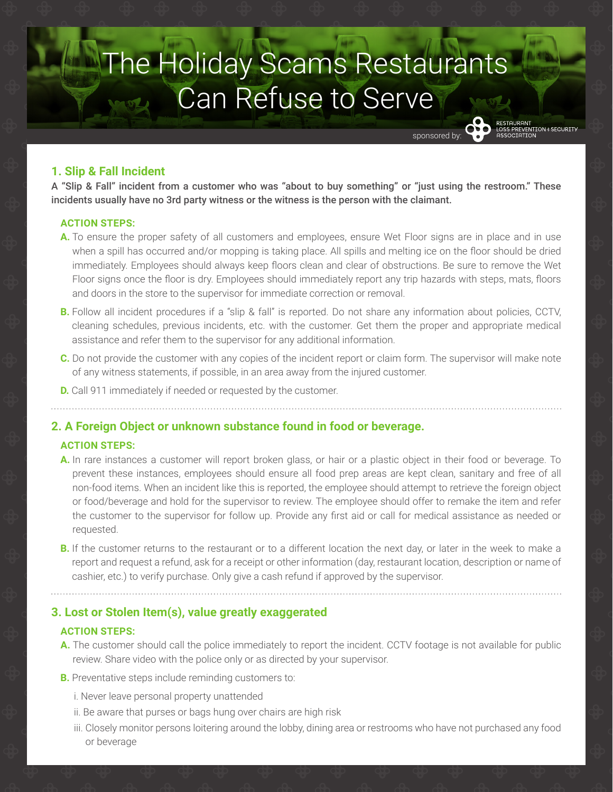# **The Holiday Scams Restaurants** Can Refuse to Serve

# **1. Slip & Fall Incident**

A "Slip & Fall" incident from a customer who was "about to buy something" or "just using the restroom." These incidents usually have no 3rd party witness or the witness is the person with the claimant.

nonsored by

ESTAURANT<br>DSS PREVENTION ¢ SECURIT!

## **ACTION STEPS:**

- **A.** To ensure the proper safety of all customers and employees, ensure Wet Floor signs are in place and in use when a spill has occurred and/or mopping is taking place. All spills and melting ice on the floor should be dried immediately. Employees should always keep floors clean and clear of obstructions. Be sure to remove the Wet Floor signs once the floor is dry. Employees should immediately report any trip hazards with steps, mats, floors and doors in the store to the supervisor for immediate correction or removal.
- **B.** Follow all incident procedures if a "slip & fall" is reported. Do not share any information about policies, CCTV, cleaning schedules, previous incidents, etc. with the customer. Get them the proper and appropriate medical assistance and refer them to the supervisor for any additional information.
- **C.** Do not provide the customer with any copies of the incident report or claim form. The supervisor will make note of any witness statements, if possible, in an area away from the injured customer.
- **D.** Call 911 immediately if needed or requested by the customer.

## **2. A Foreign Object or unknown substance found in food or beverage.**

## **ACTION STEPS:**

- **A.** In rare instances a customer will report broken glass, or hair or a plastic object in their food or beverage. To prevent these instances, employees should ensure all food prep areas are kept clean, sanitary and free of all non-food items. When an incident like this is reported, the employee should attempt to retrieve the foreign object or food/beverage and hold for the supervisor to review. The employee should offer to remake the item and refer the customer to the supervisor for follow up. Provide any first aid or call for medical assistance as needed or requested.
- **B.** If the customer returns to the restaurant or to a different location the next day, or later in the week to make a report and request a refund, ask for a receipt or other information (day, restaurant location, description or name of cashier, etc.) to verify purchase. Only give a cash refund if approved by the supervisor.

## **3. Lost or Stolen Item(s), value greatly exaggerated**

#### **ACTION STEPS:**

- **A.** The customer should call the police immediately to report the incident. CCTV footage is not available for public review. Share video with the police only or as directed by your supervisor.
- **B.** Preventative steps include reminding customers to:
	- i. Never leave personal property unattended
	- ii. Be aware that purses or bags hung over chairs are high risk
	- iii. Closely monitor persons loitering around the lobby, dining area or restrooms who have not purchased any food or beverage